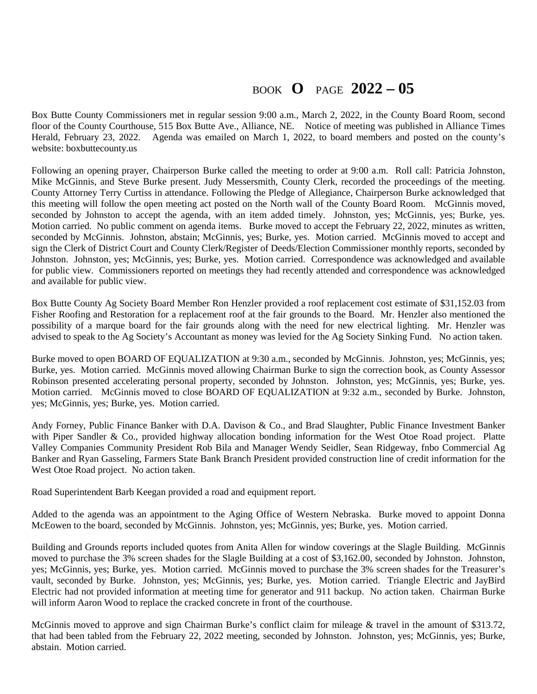## BOOK **O** PAGE **2022 – 05**

Box Butte County Commissioners met in regular session 9:00 a.m., March 2, 2022, in the County Board Room, second floor of the County Courthouse, 515 Box Butte Ave., Alliance, NE. Notice of meeting was published in Alliance Times Herald, February 23, 2022. Agenda was emailed on March 1, 2022, to board members and posted on the county's website: boxbuttecounty.us

Following an opening prayer, Chairperson Burke called the meeting to order at 9:00 a.m. Roll call: Patricia Johnston, Mike McGinnis, and Steve Burke present. Judy Messersmith, County Clerk, recorded the proceedings of the meeting. County Attorney Terry Curtiss in attendance. Following the Pledge of Allegiance, Chairperson Burke acknowledged that this meeting will follow the open meeting act posted on the North wall of the County Board Room. McGinnis moved, seconded by Johnston to accept the agenda, with an item added timely. Johnston, yes; McGinnis, yes; Burke, yes. Motion carried. No public comment on agenda items. Burke moved to accept the February 22, 2022, minutes as written, seconded by McGinnis. Johnston, abstain; McGinnis, yes; Burke, yes. Motion carried. McGinnis moved to accept and sign the Clerk of District Court and County Clerk/Register of Deeds/Election Commissioner monthly reports, seconded by Johnston. Johnston, yes; McGinnis, yes; Burke, yes. Motion carried. Correspondence was acknowledged and available for public view. Commissioners reported on meetings they had recently attended and correspondence was acknowledged and available for public view.

Box Butte County Ag Society Board Member Ron Henzler provided a roof replacement cost estimate of \$31,152.03 from Fisher Roofing and Restoration for a replacement roof at the fair grounds to the Board. Mr. Henzler also mentioned the possibility of a marque board for the fair grounds along with the need for new electrical lighting. Mr. Henzler was advised to speak to the Ag Society's Accountant as money was levied for the Ag Society Sinking Fund. No action taken.

Burke moved to open BOARD OF EQUALIZATION at 9:30 a.m., seconded by McGinnis. Johnston, yes; McGinnis, yes; Burke, yes. Motion carried. McGinnis moved allowing Chairman Burke to sign the correction book, as County Assessor Robinson presented accelerating personal property, seconded by Johnston. Johnston, yes; McGinnis, yes; Burke, yes. Motion carried. McGinnis moved to close BOARD OF EQUALIZATION at 9:32 a.m., seconded by Burke. Johnston, yes; McGinnis, yes; Burke, yes. Motion carried.

Andy Forney, Public Finance Banker with D.A. Davison & Co., and Brad Slaughter, Public Finance Investment Banker with Piper Sandler & Co., provided highway allocation bonding information for the West Otoe Road project. Platte Valley Companies Community President Rob Bila and Manager Wendy Seidler, Sean Ridgeway, fnbo Commercial Ag Banker and Ryan Gasseling, Farmers State Bank Branch President provided construction line of credit information for the West Otoe Road project. No action taken.

Road Superintendent Barb Keegan provided a road and equipment report.

Added to the agenda was an appointment to the Aging Office of Western Nebraska. Burke moved to appoint Donna McEowen to the board, seconded by McGinnis. Johnston, yes; McGinnis, yes; Burke, yes. Motion carried.

Building and Grounds reports included quotes from Anita Allen for window coverings at the Slagle Building. McGinnis moved to purchase the 3% screen shades for the Slagle Building at a cost of \$3,162.00, seconded by Johnston. Johnston, yes; McGinnis, yes; Burke, yes. Motion carried. McGinnis moved to purchase the 3% screen shades for the Treasurer's vault, seconded by Burke. Johnston, yes; McGinnis, yes; Burke, yes. Motion carried. Triangle Electric and JayBird Electric had not provided information at meeting time for generator and 911 backup. No action taken. Chairman Burke will inform Aaron Wood to replace the cracked concrete in front of the courthouse.

McGinnis moved to approve and sign Chairman Burke's conflict claim for mileage & travel in the amount of \$313.72, that had been tabled from the February 22, 2022 meeting, seconded by Johnston. Johnston, yes; McGinnis, yes; Burke, abstain. Motion carried.